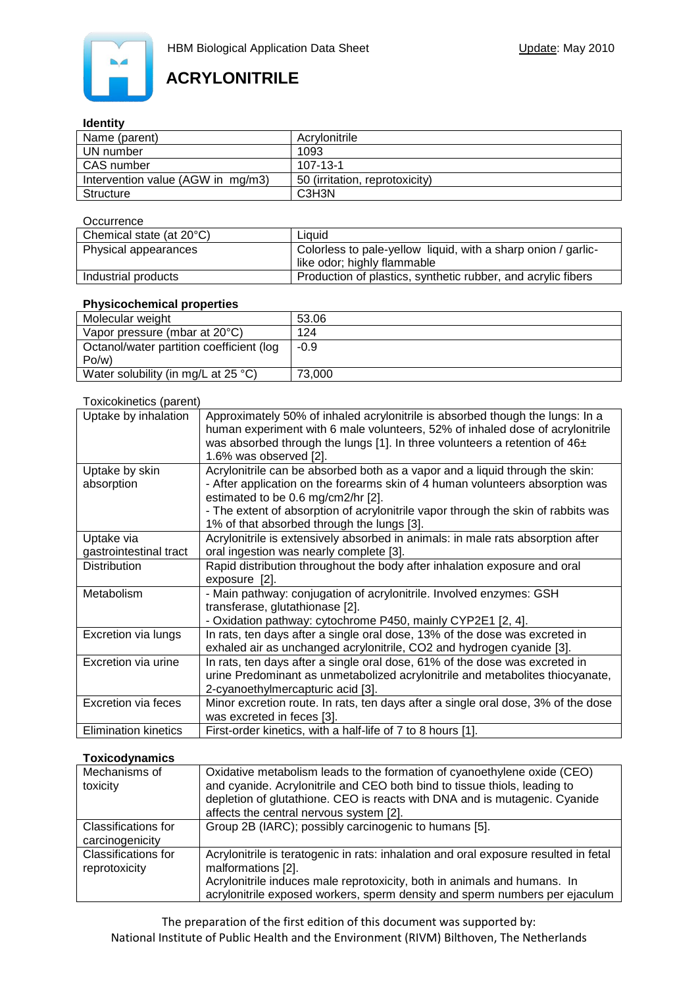

#### **Identity**

| Name (parent)                     | Acrylonitrile                  |  |  |
|-----------------------------------|--------------------------------|--|--|
| UN number                         | 1093                           |  |  |
| CAS number                        | $107 - 13 - 1$                 |  |  |
| Intervention value (AGW in mg/m3) | 50 (irritation, reprotoxicity) |  |  |
| Structure                         | C3H3N                          |  |  |

#### **Occurrence**

| Chemical state (at 20°C) | Liauid                                                                                       |
|--------------------------|----------------------------------------------------------------------------------------------|
| Physical appearances     | Colorless to pale-yellow liquid, with a sharp onion / garlic-<br>like odor; highly flammable |
| Industrial products      | Production of plastics, synthetic rubber, and acrylic fibers                                 |

### **Physicochemical properties**

| 53.06  |
|--------|
| 124    |
| $-0.9$ |
|        |
| 73.000 |
|        |

#### Toxicokinetics (parent)

| Uptake by inhalation                 | Approximately 50% of inhaled acrylonitrile is absorbed though the lungs: In a<br>human experiment with 6 male volunteers, 52% of inhaled dose of acrylonitrile<br>was absorbed through the lungs [1]. In three volunteers a retention of $46±$<br>1.6% was observed [2].                                                               |
|--------------------------------------|----------------------------------------------------------------------------------------------------------------------------------------------------------------------------------------------------------------------------------------------------------------------------------------------------------------------------------------|
| Uptake by skin<br>absorption         | Acrylonitrile can be absorbed both as a vapor and a liquid through the skin:<br>- After application on the forearms skin of 4 human volunteers absorption was<br>estimated to be 0.6 mg/cm2/hr [2].<br>- The extent of absorption of acrylonitrile vapor through the skin of rabbits was<br>1% of that absorbed through the lungs [3]. |
| Uptake via<br>gastrointestinal tract | Acrylonitrile is extensively absorbed in animals: in male rats absorption after<br>oral ingestion was nearly complete [3].                                                                                                                                                                                                             |
| <b>Distribution</b>                  | Rapid distribution throughout the body after inhalation exposure and oral<br>exposure [2].                                                                                                                                                                                                                                             |
| Metabolism                           | - Main pathway: conjugation of acrylonitrile. Involved enzymes: GSH<br>transferase, glutathionase [2].<br>- Oxidation pathway: cytochrome P450, mainly CYP2E1 [2, 4].                                                                                                                                                                  |
| Excretion via lungs                  | In rats, ten days after a single oral dose, 13% of the dose was excreted in<br>exhaled air as unchanged acrylonitrile, CO2 and hydrogen cyanide [3].                                                                                                                                                                                   |
| Excretion via urine                  | In rats, ten days after a single oral dose, 61% of the dose was excreted in<br>urine Predominant as unmetabolized acrylonitrile and metabolites thiocyanate,<br>2-cyanoethylmercapturic acid [3].                                                                                                                                      |
| <b>Excretion via feces</b>           | Minor excretion route. In rats, ten days after a single oral dose, 3% of the dose<br>was excreted in feces [3].                                                                                                                                                                                                                        |
| <b>Elimination kinetics</b>          | First-order kinetics, with a half-life of 7 to 8 hours [1].                                                                                                                                                                                                                                                                            |

### **Toxicodynamics**

| Mechanisms of<br>toxicity                   | Oxidative metabolism leads to the formation of cyanoethylene oxide (CEO)<br>and cyanide. Acrylonitrile and CEO both bind to tissue thiols, leading to<br>depletion of glutathione. CEO is reacts with DNA and is mutagenic. Cyanide<br>affects the central nervous system [2]. |
|---------------------------------------------|--------------------------------------------------------------------------------------------------------------------------------------------------------------------------------------------------------------------------------------------------------------------------------|
| Classifications for<br>carcinogenicity      | Group 2B (IARC); possibly carcinogenic to humans [5].                                                                                                                                                                                                                          |
| <b>Classifications for</b><br>reprotoxicity | Acrylonitrile is teratogenic in rats: inhalation and oral exposure resulted in fetal<br>malformations [2].<br>Acrylonitrile induces male reprotoxicity, both in animals and humans. In<br>acrylonitrile exposed workers, sperm density and sperm numbers per ejaculum          |

The preparation of the first edition of this document was supported by: National Institute of Public Health and the Environment (RIVM) Bilthoven, The Netherlands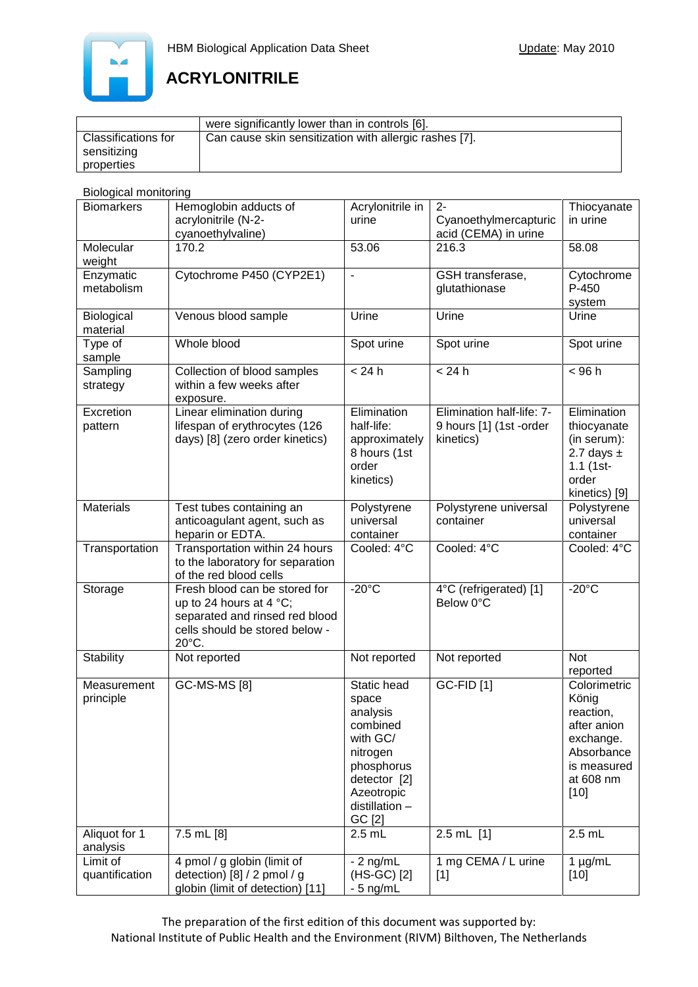

|                            | were significantly lower than in controls [6].         |
|----------------------------|--------------------------------------------------------|
| <b>Classifications for</b> | Can cause skin sensitization with allergic rashes [7]. |
| sensitizing                |                                                        |
| properties                 |                                                        |

## Biological monitoring

| <b>Biomarkers</b>          | Hemoglobin adducts of<br>acrylonitrile (N-2-<br>cyanoethylvaline)                                                                               | Acrylonitrile in<br>urine                                                                                                                    | $2 -$<br>Cyanoethylmercapturic<br>acid (CEMA) in urine            | Thiocyanate<br>in urine                                                                                            |
|----------------------------|-------------------------------------------------------------------------------------------------------------------------------------------------|----------------------------------------------------------------------------------------------------------------------------------------------|-------------------------------------------------------------------|--------------------------------------------------------------------------------------------------------------------|
| Molecular<br>weight        | 170.2                                                                                                                                           | 53.06                                                                                                                                        | 216.3                                                             | 58.08                                                                                                              |
| Enzymatic<br>metabolism    | Cytochrome P450 (CYP2E1)                                                                                                                        | $\overline{\phantom{a}}$                                                                                                                     | GSH transferase,<br>glutathionase                                 | Cytochrome<br>$P-450$<br>system                                                                                    |
| Biological<br>material     | Venous blood sample                                                                                                                             | Urine                                                                                                                                        | Urine                                                             | Urine                                                                                                              |
| Type of<br>sample          | Whole blood                                                                                                                                     | Spot urine                                                                                                                                   | Spot urine                                                        | Spot urine                                                                                                         |
| Sampling<br>strategy       | Collection of blood samples<br>within a few weeks after<br>exposure.                                                                            | < 24 h                                                                                                                                       | < 24 h                                                            | < 96 h                                                                                                             |
| Excretion<br>pattern       | Linear elimination during<br>lifespan of erythrocytes (126<br>days) [8] (zero order kinetics)                                                   | Elimination<br>half-life:<br>approximately<br>8 hours (1st<br>order<br>kinetics)                                                             | Elimination half-life: 7-<br>9 hours [1] (1st -order<br>kinetics) | Elimination<br>thiocyanate<br>(in serum):<br>2.7 days $\pm$<br>$1.1$ (1st-<br>order<br>kinetics) [9]               |
| <b>Materials</b>           | Test tubes containing an<br>anticoagulant agent, such as<br>heparin or EDTA.                                                                    | Polystyrene<br>universal<br>container                                                                                                        | Polystyrene universal<br>container                                | Polystyrene<br>universal<br>container                                                                              |
| Transportation             | Transportation within 24 hours<br>to the laboratory for separation<br>of the red blood cells                                                    | Cooled: 4°C                                                                                                                                  | Cooled: 4°C                                                       | Cooled: 4°C                                                                                                        |
| Storage                    | Fresh blood can be stored for<br>up to 24 hours at 4 $^{\circ}$ C;<br>separated and rinsed red blood<br>cells should be stored below -<br>20°C. | $-20^{\circ}$ C                                                                                                                              | 4°C (refrigerated) [1]<br>Below 0°C                               | $-20^{\circ}$ C                                                                                                    |
| Stability                  | Not reported                                                                                                                                    | Not reported                                                                                                                                 | Not reported                                                      | <b>Not</b><br>reported                                                                                             |
| Measurement<br>principle   | <b>GC-MS-MS [8]</b>                                                                                                                             | Static head<br>space<br>analysis<br>combined<br>with GC/<br>nitrogen<br>phosphorus<br>detector [2]<br>Azeotropic<br>distillation -<br>GC [2] | <b>GC-FID</b> [1]                                                 | Colorimetric<br>König<br>reaction,<br>after anion<br>exchange.<br>Absorbance<br>is measured<br>at 608 nm<br>$[10]$ |
| Aliquot for 1<br>analysis  | 7.5 mL [8]                                                                                                                                      | $2.5$ mL                                                                                                                                     | $2.5$ mL $[1]$                                                    | $2.5$ mL                                                                                                           |
| Limit of<br>quantification | 4 pmol / g globin (limit of<br>detection) [8] / 2 pmol / g<br>globin (limit of detection) [11]                                                  | $-2$ ng/mL<br>(HS-GC) [2]<br>- 5 ng/mL                                                                                                       | 1 mg CEMA / L urine<br>$[1]$                                      | $1 \mu g/mL$<br>$[10]$                                                                                             |

The preparation of the first edition of this document was supported by: National Institute of Public Health and the Environment (RIVM) Bilthoven, The Netherlands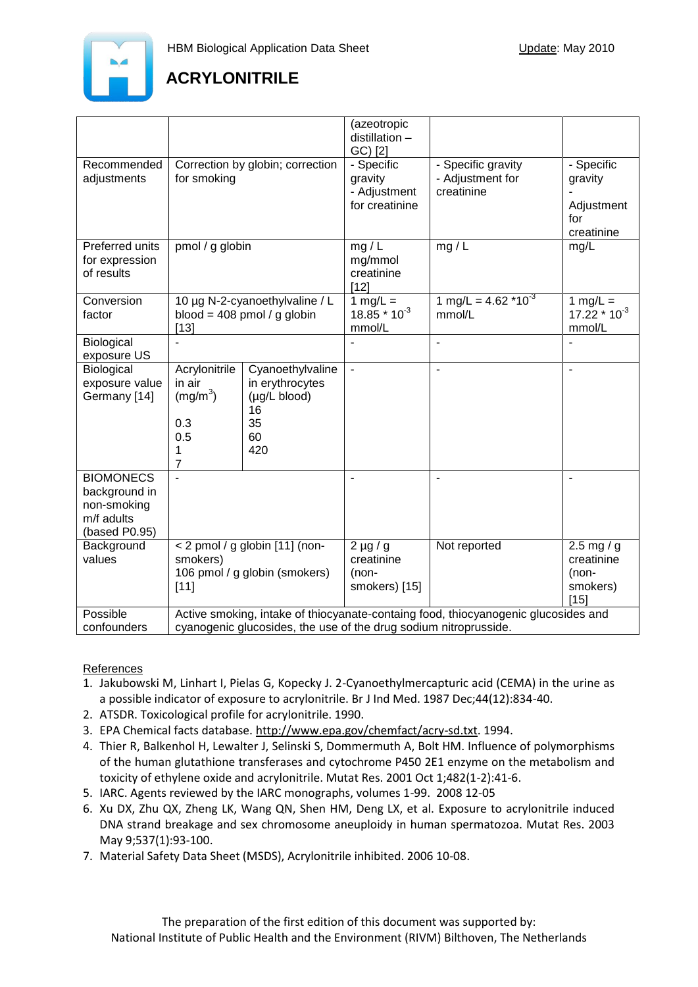

|                                                                                 |                                                                                                                                                        |                                                                              | (azeotropic<br>distillation -<br>GC) [2]                |                                                      |                                                          |
|---------------------------------------------------------------------------------|--------------------------------------------------------------------------------------------------------------------------------------------------------|------------------------------------------------------------------------------|---------------------------------------------------------|------------------------------------------------------|----------------------------------------------------------|
| Recommended<br>adjustments                                                      | Correction by globin; correction<br>for smoking                                                                                                        |                                                                              | - Specific<br>gravity<br>- Adjustment<br>for creatinine | - Specific gravity<br>- Adjustment for<br>creatinine | - Specific<br>gravity<br>Adjustment<br>for<br>creatinine |
| Preferred units<br>for expression<br>of results                                 | pmol / g globin                                                                                                                                        |                                                                              | mg/L<br>mg/mmol<br>creatinine<br>[12]                   | mg $\overline{I}$                                    | mg/L                                                     |
| Conversion<br>factor                                                            | 10 µg N-2-cyanoethylvaline / L<br>blood = 408 pmol / g globin<br>$[13]$                                                                                |                                                                              | 1 mg/L $=$<br>$18.85 * 10^{-3}$<br>mmol/L               | 1 mg/L = $4.62 \times 10^{-3}$<br>mmol/L             | 1 mg/L $=$<br>$17.22 * 10^{-3}$<br>mmol/L                |
| Biological<br>exposure US                                                       |                                                                                                                                                        |                                                                              |                                                         | $\overline{\phantom{a}}$                             |                                                          |
| Biological<br>exposure value<br>Germany [14]                                    | Acrylonitrile<br>in air<br>(mg/m <sup>3</sup> )<br>0.3<br>0.5<br>1<br>7                                                                                | Cyanoethylvaline<br>in erythrocytes<br>(µg/L blood)<br>16<br>35<br>60<br>420 | $\blacksquare$                                          | $\blacksquare$                                       | $\overline{\phantom{a}}$                                 |
| <b>BIOMONECS</b><br>background in<br>non-smoking<br>m/f adults<br>(based P0.95) |                                                                                                                                                        |                                                                              |                                                         | $\blacksquare$                                       | $\blacksquare$                                           |
| Background<br>values                                                            | < 2 pmol / g globin [11] (non-<br>smokers)<br>106 pmol / g globin (smokers)<br>$[11]$                                                                  |                                                                              | $2 \mu g / g$<br>creatinine<br>(non-<br>smokers) [15]   | Not reported                                         | 2.5 mg / g<br>creatinine<br>(non-<br>smokers)<br>$[15]$  |
| Possible<br>confounders                                                         | Active smoking, intake of thiocyanate-containg food, thiocyanogenic glucosides and<br>cyanogenic glucosides, the use of the drug sodium nitroprusside. |                                                                              |                                                         |                                                      |                                                          |

### References

- 1. Jakubowski M, Linhart I, Pielas G, Kopecky J. 2-Cyanoethylmercapturic acid (CEMA) in the urine as a possible indicator of exposure to acrylonitrile. Br J Ind Med. 1987 Dec;44(12):834-40.
- 2. ATSDR. Toxicological profile for acrylonitrile. 1990.
- 3. EPA Chemical facts database. [http://www.epa.gov/chemfact/acry-sd.txt.](http://www.epa.gov/chemfact/acry-sd.txt) 1994.
- 4. Thier R, Balkenhol H, Lewalter J, Selinski S, Dommermuth A, Bolt HM. Influence of polymorphisms of the human glutathione transferases and cytochrome P450 2E1 enzyme on the metabolism and toxicity of ethylene oxide and acrylonitrile. Mutat Res. 2001 Oct 1;482(1-2):41-6.
- 5. IARC. Agents reviewed by the IARC monographs, volumes 1-99. 2008 12-05
- 6. Xu DX, Zhu QX, Zheng LK, Wang QN, Shen HM, Deng LX, et al. Exposure to acrylonitrile induced DNA strand breakage and sex chromosome aneuploidy in human spermatozoa. Mutat Res. 2003 May 9;537(1):93-100.
- 7. Material Safety Data Sheet (MSDS), Acrylonitrile inhibited. 2006 10-08.